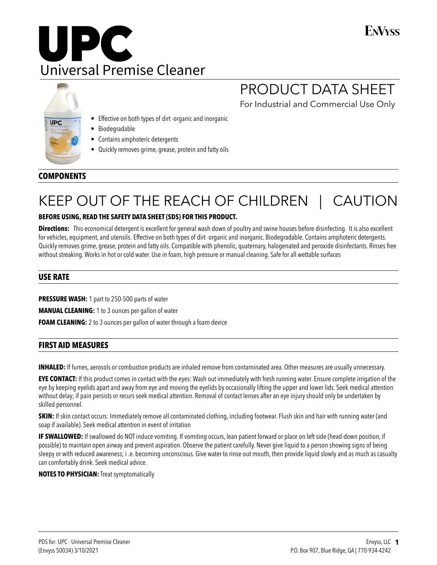# **FNVyss**





# PRODUCT DATA SHEET

For Industrial and Commercial Use Only

- Effective on both types of dirt -organic and inorganic
- Biodegradable
- Contains amphoteric detergents
- Quickly removes grime, grease, protein and fatty oils

# **COMPONENTS**

# KEEP OUT OF THE REACH OF CHILDREN | CAUTION

## **BEFORE USING, READ THE SAFETY DATA SHEET (SDS) FOR THIS PRODUCT.**

**Directions:** This economical detergent is excellent for general wash down of poultry and swine houses before disinfecting. It is also excellent for vehicles, equipment, and utensils. Effective on both types of dirt -organic and inorganic. Biodegradable. Contains amphoteric detergents. Quickly removes grime, grease, protein and fatty oils. Compatible with phenolic, quaternary, halogenated and peroxide disinfectants. Rinses free without streaking. Works in hot or cold water. Use in foam, high pressure or manual cleaning. Safe for all wettable surfaces

# **USE RATE**

**PRESSURE WASH:** 1 part to 250-500 parts of water

**MANUAL CLEANING:** 1 to 3 ounces per gallon of water

**FOAM CLEANING:** 2 to 3 ounces per gallon of water through a foam device

## **FIRST AID MEASURES**

**INHALED:** If fumes, aerosols or combustion products are inhaled remove from contaminated area. Other measures are usually unnecessary.

**EYE CONTACT:** If this product comes in contact with the eyes: Wash out immediately with fresh running water. Ensure complete irrigation of the eye by keeping eyelids apart and away from eye and moving the eyelids by occasionally lifting the upper and lower lids. Seek medical attention without delay; if pain persists or recurs seek medical attention. Removal of contact lenses after an eye injury should only be undertaken by skilled personnel.

**SKIN:** If skin contact occurs: Immediately remove all contaminated clothing, including footwear. Flush skin and hair with running water (and soap if available). Seek medical attention in event of irritation

**IF SWALLOWED:** If swallowed do NOT induce vomiting. If vomiting occurs, lean patient forward or place on left side (head-down position, if possible) to maintain open airway and prevent aspiration. Observe the patient carefully. Never give liquid to a person showing signs of being sleepy or with reduced awareness; i .e. becoming unconscious. Give water to rinse out mouth, then provide liquid slowly and as much as casualty can comfortably drink. Seek medical advice.

### **NOTES TO PHYSICIAN:** Treat symptomatically